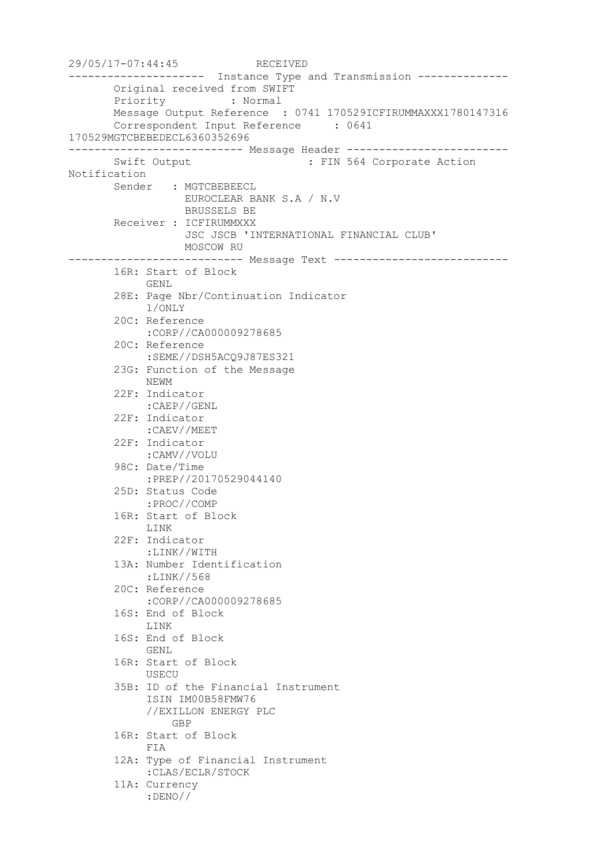29/05/17-07:44:45 RECEIVED --------------------- Instance Type and Transmission -------------- Original received from SWIFT Priority : Normal Message Output Reference : 0741 170529ICFIRUMMAXXX1780147316 Correspondent Input Reference : 0641 170529MGTCBEBEDECL6360352696 --------------------------- Message Header ------------------------- Swift Output : FIN 564 Corporate Action Notification Sender : MGTCBEBEECL EUROCLEAR BANK S.A / N.V BRUSSELS BE Receiver : ICFIRUMMXXX JSC JSCB 'INTERNATIONAL FINANCIAL CLUB' MOSCOW RU --------------------------- Message Text --------------------------- 16R: Start of Block GENL 28E: Page Nbr/Continuation Indicator 1/ONLY 20C: Reference :CORP//CA000009278685 20C: Reference :SEME//DSH5ACQ9J87ES321 23G: Function of the Message NEWM 22F: Indicator :CAEP//GENL 22F: Indicator :CAEV//MEET 22F: Indicator :CAMV//VOLU 98C: Date/Time :PREP//20170529044140 25D: Status Code :PROC//COMP 16R: Start of Block LINK 22F: Indicator :LINK//WITH 13A: Number Identification :LINK//568 20C: Reference :CORP//CA000009278685 16S: End of Block LINK 16S: End of Block GENL 16R: Start of Block USECU 35B: ID of the Financial Instrument ISIN IM00B58FMW76 //EXILLON ENERGY PLC **GBP**  16R: Start of Block FIA 12A: Type of Financial Instrument :CLAS/ECLR/STOCK 11A: Currency :DENO//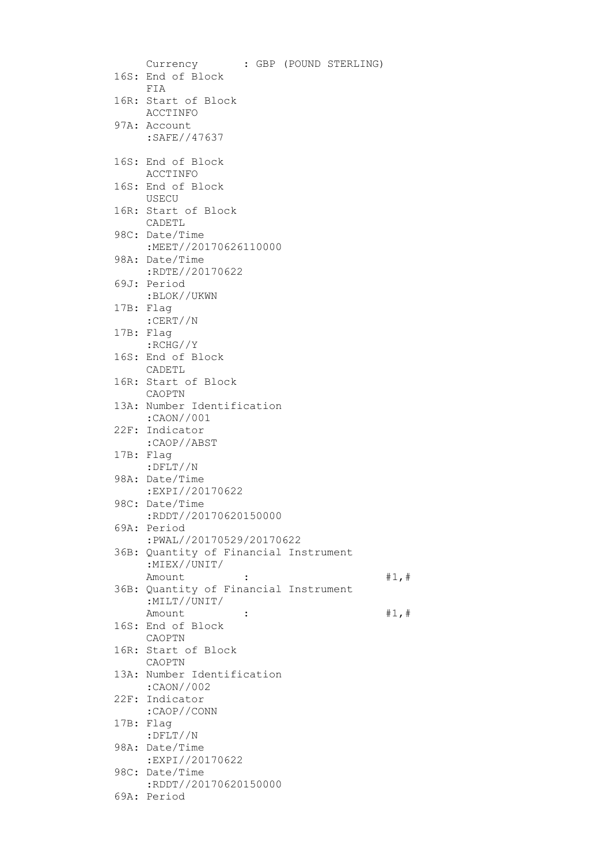| Currency                                                          |  | : GBP (POUND STERLING) |       |
|-------------------------------------------------------------------|--|------------------------|-------|
| 16S: End of Block<br>FIA                                          |  |                        |       |
| 16R: Start of Block<br>ACCTINFO                                   |  |                        |       |
| 97A: Account<br>:SAFE//47637                                      |  |                        |       |
| 16S: End of Block<br>ACCTINFO                                     |  |                        |       |
| 16S: End of Block<br>USECU                                        |  |                        |       |
| 16R: Start of Block<br>CADETL                                     |  |                        |       |
| 98C: Date/Time<br>:MEET//20170626110000                           |  |                        |       |
| 98A: Date/Time<br>:RDTE//20170622                                 |  |                        |       |
| 69J: Period<br>:BLOK//UKWN                                        |  |                        |       |
| 17B: Flag<br>:CERT//N                                             |  |                        |       |
| 17B: Flag<br>$:$ RCHG $//Y$                                       |  |                        |       |
| 16S: End of Block<br>CADETL                                       |  |                        |       |
| 16R: Start of Block<br>CAOPTN                                     |  |                        |       |
| 13A: Number Identification                                        |  |                        |       |
| :CAON//001<br>22F: Indicator                                      |  |                        |       |
| :CAOP//ABST<br>17B: Flag                                          |  |                        |       |
| $:$ $DFLT //N$<br>98A: Date/Time                                  |  |                        |       |
| :EXPI//20170622<br>98C: Date/Time                                 |  |                        |       |
| :RDDT//20170620150000<br>69A: Period                              |  |                        |       |
| :PWAL//20170529/20170622<br>36B: Quantity of Financial Instrument |  |                        |       |
| :MIEX//UNIT/<br>Amount                                            |  |                        | #1, # |
| 36B: Quantity of Financial Instrument<br>:MILT//UNIT/             |  |                        |       |
| Amount<br>$\ddot{\cdot}$<br>16S: End of Block<br>CAOPTN           |  |                        | #1, # |
| 16R: Start of Block<br>CAOPTN                                     |  |                        |       |
| 13A: Number Identification<br>:CAON//002                          |  |                        |       |
| 22F: Indicator                                                    |  |                        |       |
| :CAOP//CONN<br>17B: Flag                                          |  |                        |       |
| $:$ $DFLT//N$<br>98A: Date/Time                                   |  |                        |       |
| :EXPI//20170622<br>98C: Date/Time<br>:RDDT//20170620150000        |  |                        |       |
| 69A: Period                                                       |  |                        |       |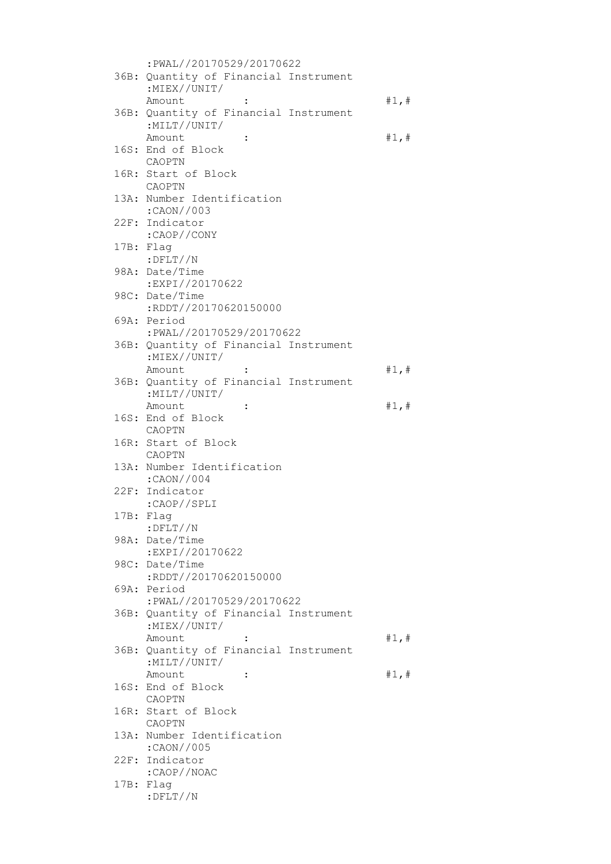|  | :PWAL//20170529/20170622                 |       |
|--|------------------------------------------|-------|
|  | 36B: Quantity of Financial Instrument    |       |
|  | :MIEX//UNIT/                             |       |
|  | Amount                                   | #1, # |
|  | 36B: Quantity of Financial Instrument    |       |
|  | :MILT//UNIT/                             |       |
|  | Amount<br>$\ddot{\cdot}$                 | #1, # |
|  | 16S: End of Block<br>CAOPTN              |       |
|  | 16R: Start of Block                      |       |
|  | CAOPTN                                   |       |
|  | 13A: Number Identification               |       |
|  | :CAON//003                               |       |
|  | 22F: Indicator                           |       |
|  | :CAOP//CONY                              |       |
|  | 17B: Flag                                |       |
|  | $:$ $DFLT//N$                            |       |
|  | 98A: Date/Time                           |       |
|  | :EXPI//20170622                          |       |
|  | 98C: Date/Time                           |       |
|  | :RDDT//20170620150000<br>69A: Period     |       |
|  | :PWAL//20170529/20170622                 |       |
|  | 36B: Quantity of Financial Instrument    |       |
|  | : $MIEX//UNIT/$                          |       |
|  | Amount<br>$\ddot{\cdot}$                 | #1, # |
|  | 36B: Quantity of Financial Instrument    |       |
|  | :MILT//UNIT/                             |       |
|  | Amount<br>$\ddot{\cdot}$                 | #1, # |
|  | 16S: End of Block                        |       |
|  | CAOPTN                                   |       |
|  | 16R: Start of Block                      |       |
|  | CAOPTN                                   |       |
|  | 13A: Number Identification<br>:CAON//004 |       |
|  | 22F: Indicator                           |       |
|  | :CAOP//SPLI                              |       |
|  |                                          |       |
|  |                                          |       |
|  | 17B: Flag<br>$:$ $DFLT//N$               |       |
|  | 98A: Date/Time                           |       |
|  | :EXPI//20170622                          |       |
|  | 98C: Date/Time                           |       |
|  | :RDDT//20170620150000                    |       |
|  | 69A: Period                              |       |
|  | :PWAL//20170529/20170622                 |       |
|  | 36B: Quantity of Financial Instrument    |       |
|  | :MIEX//UNIT/                             |       |
|  | Amount                                   | #1, # |
|  | 36B: Quantity of Financial Instrument    |       |
|  | :MILT//UNIT/<br>Amount<br>፡              |       |
|  | 16S: End of Block                        | #1,#  |
|  | CAOPTN                                   |       |
|  | 16R: Start of Block                      |       |
|  | CAOPTN                                   |       |
|  | 13A: Number Identification               |       |
|  | $:$ CAON//005                            |       |
|  | 22F: Indicator                           |       |
|  | :CAOP//NOAC                              |       |
|  | 17B: Flag<br>$:$ DFLT//N                 |       |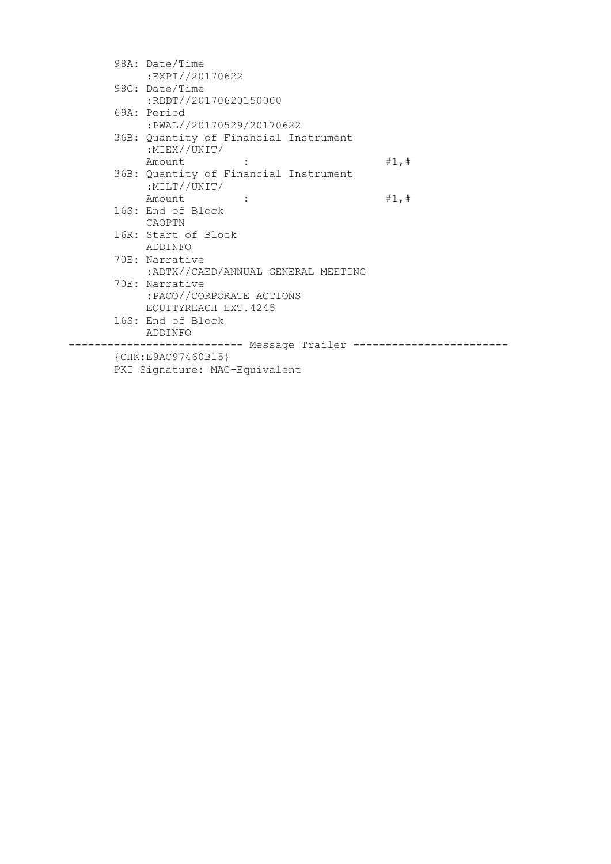| 98A: Date/Time                                           |       |
|----------------------------------------------------------|-------|
| :EXPI//20170622                                          |       |
| 98C: Date/Time                                           |       |
| :RDDT//20170620150000                                    |       |
| 69A: Period                                              |       |
| :PWAL//20170529/20170622                                 |       |
| 36B: Quantity of Financial Instrument<br>: $MIEX//UNIT/$ |       |
| Amount :                                                 | #1, # |
| 36B: Quantity of Financial Instrument                    |       |
| :MILT//UNIT/                                             |       |
| Amount :                                                 | #1, # |
| 16S: End of Block                                        |       |
| CAOPTN                                                   |       |
| 16R: Start of Block                                      |       |
| ADDINFO                                                  |       |
| 70E: Narrative                                           |       |
| :ADTX//CAED/ANNUAL GENERAL MEETING                       |       |
| 70E: Narrative                                           |       |
| :PACO//CORPORATE ACTIONS                                 |       |
| EQUITYREACH EXT.4245                                     |       |
| 16S: End of Block                                        |       |
| ADDINFO                                                  |       |
|                                                          |       |
| ${CHK: E9AC97460B15}$                                    |       |
| PKI Signature: MAC-Equivalent                            |       |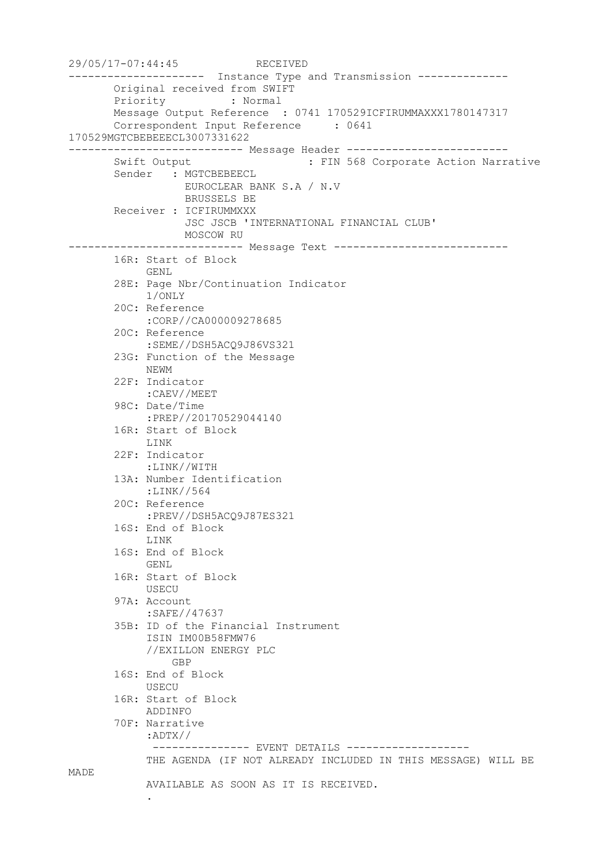```
29/05/17-07:44:45 RECEIVED
--------------------- Instance Type and Transmission --------------
        Original received from SWIFT
        Priority : Normal
        Message Output Reference : 0741 170529ICFIRUMMAXXX1780147317
        Correspondent Input Reference : 0641 
170529MGTCBEBEEECL3007331622
--------------------------- Message Header -------------------------
       Swift Output : FIN 568 Corporate Action Narrative
       Sender : MGTCBEBEECL
                  EUROCLEAR BANK S.A / N.V
                  BRUSSELS BE
        Receiver : ICFIRUMMXXX
                   JSC JSCB 'INTERNATIONAL FINANCIAL CLUB'
                 MOSCOW RU
--------------------------- Message Text ---------------------------
        16R: Start of Block
             GENL
        28E: Page Nbr/Continuation Indicator
             1/ONLY
        20C: Reference
             :CORP//CA000009278685
        20C: Reference
             :SEME//DSH5ACQ9J86VS321
        23G: Function of the Message
             NEWM
        22F: Indicator
             :CAEV//MEET
        98C: Date/Time
             :PREP//20170529044140
        16R: Start of Block
             LINK
        22F: Indicator
             :LINK//WITH
        13A: Number Identification
            :LINK//564
        20C: Reference
             :PREV//DSH5ACQ9J87ES321
        16S: End of Block
             LINK
        16S: End of Block
             GENL
        16R: Start of Block
            USECU
        97A: Account
             :SAFE//47637
        35B: ID of the Financial Instrument
             ISIN IM00B58FMW76
             //EXILLON ENERGY PLC
                 GBP
        16S: End of Block
             USECU
        16R: Start of Block
             ADDINFO
        70F: Narrative
             :ADTX//
              --------------- EVENT DETAILS -------------------
             THE AGENDA (IF NOT ALREADY INCLUDED IN THIS MESSAGE) WILL BE 
MADE
             AVAILABLE AS SOON AS IT IS RECEIVED.
```
.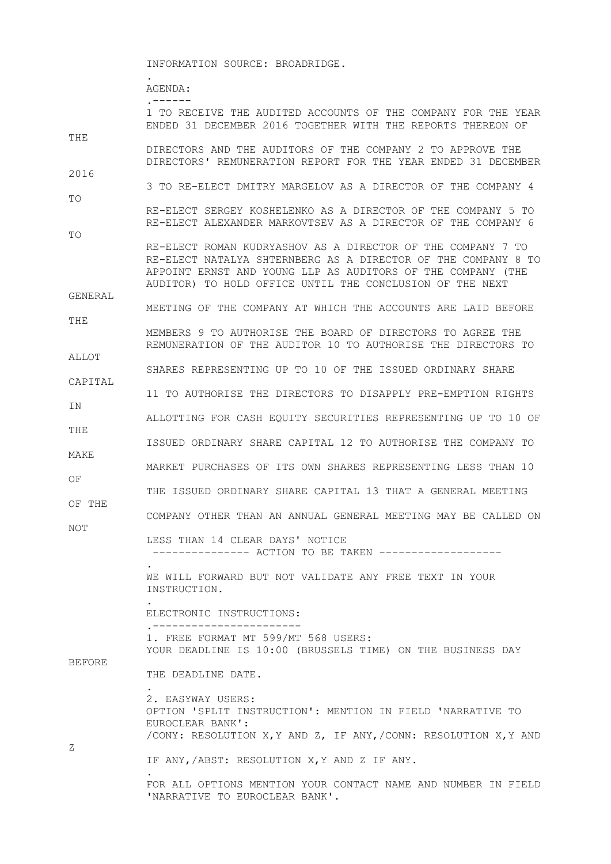INFORMATION SOURCE: BROADRIDGE.

.

AGENDA:

 .------ 1 TO RECEIVE THE AUDITED ACCOUNTS OF THE COMPANY FOR THE YEAR ENDED 31 DECEMBER 2016 TOGETHER WITH THE REPORTS THEREON OF THE DIRECTORS AND THE AUDITORS OF THE COMPANY 2 TO APPROVE THE DIRECTORS' REMUNERATION REPORT FOR THE YEAR ENDED 31 DECEMBER 2016 3 TO RE-ELECT DMITRY MARGELOV AS A DIRECTOR OF THE COMPANY 4 TO RE-ELECT SERGEY KOSHELENKO AS A DIRECTOR OF THE COMPANY 5 TO RE-ELECT ALEXANDER MARKOVTSEV AS A DIRECTOR OF THE COMPANY 6 TO RE-ELECT ROMAN KUDRYASHOV AS A DIRECTOR OF THE COMPANY 7 TO RE-ELECT NATALYA SHTERNBERG AS A DIRECTOR OF THE COMPANY 8 TO APPOINT ERNST AND YOUNG LLP AS AUDITORS OF THE COMPANY (THE AUDITOR) TO HOLD OFFICE UNTIL THE CONCLUSION OF THE NEXT GENERAL MEETING OF THE COMPANY AT WHICH THE ACCOUNTS ARE LAID BEFORE THE MEMBERS 9 TO AUTHORISE THE BOARD OF DIRECTORS TO AGREE THE REMUNERATION OF THE AUDITOR 10 TO AUTHORISE THE DIRECTORS TO ALLOT SHARES REPRESENTING UP TO 10 OF THE ISSUED ORDINARY SHARE CAPITAL 11 TO AUTHORISE THE DIRECTORS TO DISAPPLY PRE-EMPTION RIGHTS **TN**  ALLOTTING FOR CASH EQUITY SECURITIES REPRESENTING UP TO 10 OF THE ISSUED ORDINARY SHARE CAPITAL 12 TO AUTHORISE THE COMPANY TO MAKE MARKET PURCHASES OF ITS OWN SHARES REPRESENTING LESS THAN 10 OF THE ISSUED ORDINARY SHARE CAPITAL 13 THAT A GENERAL MEETING OF THE COMPANY OTHER THAN AN ANNUAL GENERAL MEETING MAY BE CALLED ON NOT LESS THAN 14 CLEAR DAYS' NOTICE --------------- ACTION TO BE TAKEN ------------------- . WE WILL FORWARD BUT NOT VALIDATE ANY FREE TEXT IN YOUR INSTRUCTION. . ELECTRONIC INSTRUCTIONS: .----------------------- 1. FREE FORMAT MT 599/MT 568 USERS: YOUR DEADLINE IS 10:00 (BRUSSELS TIME) ON THE BUSINESS DAY BEFORE THE DEADLINE DATE. . 2. EASYWAY USERS: OPTION 'SPLIT INSTRUCTION': MENTION IN FIELD 'NARRATIVE TO EUROCLEAR BANK': /CONY: RESOLUTION X,Y AND Z, IF ANY,/CONN: RESOLUTION X,Y AND Z IF ANY,/ABST: RESOLUTION X,Y AND Z IF ANY. .

> FOR ALL OPTIONS MENTION YOUR CONTACT NAME AND NUMBER IN FIELD 'NARRATIVE TO EUROCLEAR BANK'.